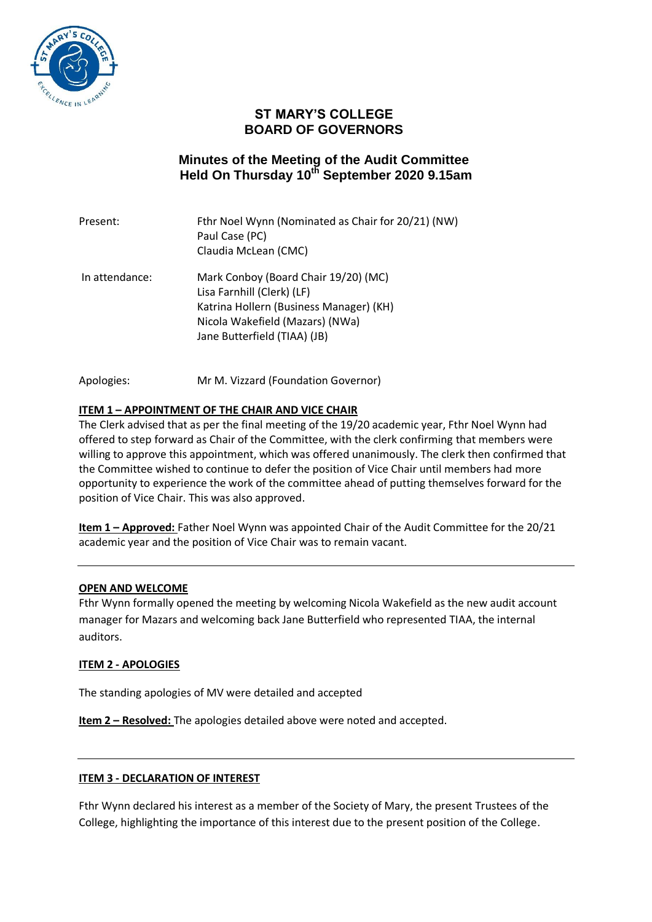

## **ST MARY'S COLLEGE BOARD OF GOVERNORS**

# **Minutes of the Meeting of the Audit Committee Held On Thursday 10th September 2020 9.15am**

| Present:       | Fthr Noel Wynn (Nominated as Chair for 20/21) (NW)<br>Paul Case (PC)<br>Claudia McLean (CMC)                                                                                     |
|----------------|----------------------------------------------------------------------------------------------------------------------------------------------------------------------------------|
| In attendance: | Mark Conboy (Board Chair 19/20) (MC)<br>Lisa Farnhill (Clerk) (LF)<br>Katrina Hollern (Business Manager) (KH)<br>Nicola Wakefield (Mazars) (NWa)<br>Jane Butterfield (TIAA) (JB) |

Apologies: Mr M. Vizzard (Foundation Governor)

## **ITEM 1 – APPOINTMENT OF THE CHAIR AND VICE CHAIR**

The Clerk advised that as per the final meeting of the 19/20 academic year, Fthr Noel Wynn had offered to step forward as Chair of the Committee, with the clerk confirming that members were willing to approve this appointment, which was offered unanimously. The clerk then confirmed that the Committee wished to continue to defer the position of Vice Chair until members had more opportunity to experience the work of the committee ahead of putting themselves forward for the position of Vice Chair. This was also approved.

**Item 1 – Approved:** Father Noel Wynn was appointed Chair of the Audit Committee for the 20/21 academic year and the position of Vice Chair was to remain vacant.

#### **OPEN AND WELCOME**

Fthr Wynn formally opened the meeting by welcoming Nicola Wakefield as the new audit account manager for Mazars and welcoming back Jane Butterfield who represented TIAA, the internal auditors.

#### **ITEM 2 - APOLOGIES**

The standing apologies of MV were detailed and accepted

**Item 2 – Resolved:** The apologies detailed above were noted and accepted.

#### **ITEM 3 - DECLARATION OF INTEREST**

Fthr Wynn declared his interest as a member of the Society of Mary, the present Trustees of the College, highlighting the importance of this interest due to the present position of the College.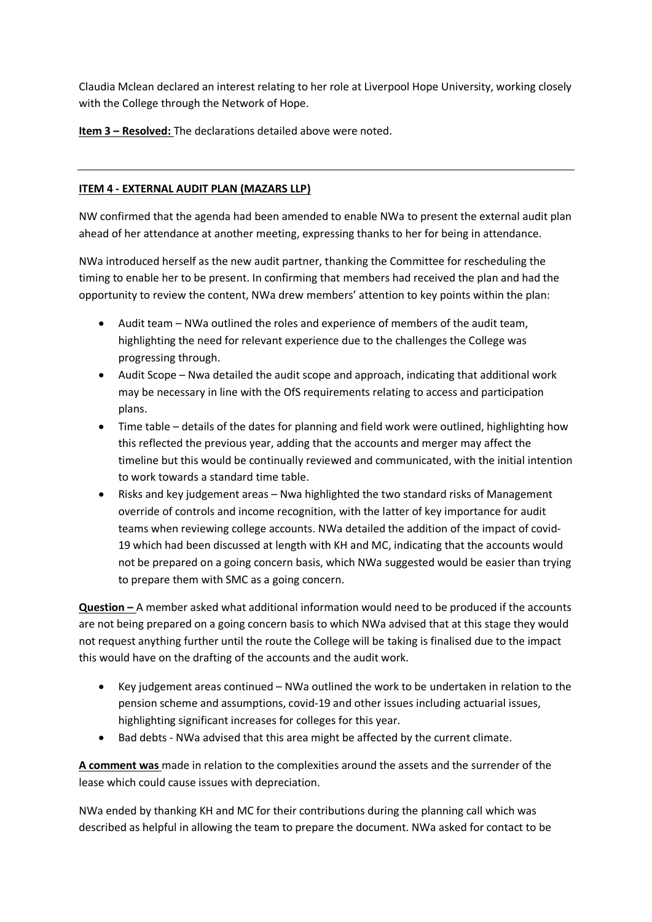Claudia Mclean declared an interest relating to her role at Liverpool Hope University, working closely with the College through the Network of Hope.

**Item 3 – Resolved:** The declarations detailed above were noted.

## **ITEM 4 - EXTERNAL AUDIT PLAN (MAZARS LLP)**

NW confirmed that the agenda had been amended to enable NWa to present the external audit plan ahead of her attendance at another meeting, expressing thanks to her for being in attendance.

NWa introduced herself as the new audit partner, thanking the Committee for rescheduling the timing to enable her to be present. In confirming that members had received the plan and had the opportunity to review the content, NWa drew members' attention to key points within the plan:

- Audit team NWa outlined the roles and experience of members of the audit team, highlighting the need for relevant experience due to the challenges the College was progressing through.
- Audit Scope Nwa detailed the audit scope and approach, indicating that additional work may be necessary in line with the OfS requirements relating to access and participation plans.
- Time table details of the dates for planning and field work were outlined, highlighting how this reflected the previous year, adding that the accounts and merger may affect the timeline but this would be continually reviewed and communicated, with the initial intention to work towards a standard time table.
- Risks and key judgement areas Nwa highlighted the two standard risks of Management override of controls and income recognition, with the latter of key importance for audit teams when reviewing college accounts. NWa detailed the addition of the impact of covid-19 which had been discussed at length with KH and MC, indicating that the accounts would not be prepared on a going concern basis, which NWa suggested would be easier than trying to prepare them with SMC as a going concern.

**Question –** A member asked what additional information would need to be produced if the accounts are not being prepared on a going concern basis to which NWa advised that at this stage they would not request anything further until the route the College will be taking is finalised due to the impact this would have on the drafting of the accounts and the audit work.

- Key judgement areas continued NWa outlined the work to be undertaken in relation to the pension scheme and assumptions, covid-19 and other issues including actuarial issues, highlighting significant increases for colleges for this year.
- Bad debts NWa advised that this area might be affected by the current climate.

**A comment was** made in relation to the complexities around the assets and the surrender of the lease which could cause issues with depreciation.

NWa ended by thanking KH and MC for their contributions during the planning call which was described as helpful in allowing the team to prepare the document. NWa asked for contact to be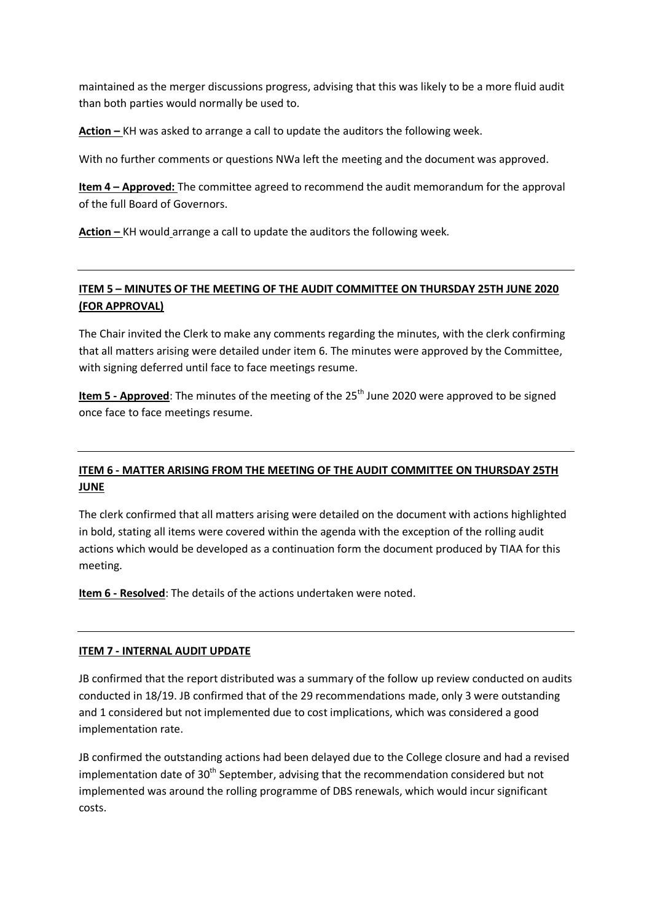maintained as the merger discussions progress, advising that this was likely to be a more fluid audit than both parties would normally be used to.

**Action –** KH was asked to arrange a call to update the auditors the following week.

With no further comments or questions NWa left the meeting and the document was approved.

**Item 4 – Approved:** The committee agreed to recommend the audit memorandum for the approval of the full Board of Governors.

**Action –** KH would arrange a call to update the auditors the following week.

## **ITEM 5 – MINUTES OF THE MEETING OF THE AUDIT COMMITTEE ON THURSDAY 25TH JUNE 2020 (FOR APPROVAL)**

The Chair invited the Clerk to make any comments regarding the minutes, with the clerk confirming that all matters arising were detailed under item 6. The minutes were approved by the Committee, with signing deferred until face to face meetings resume.

**Item 5 - Approved**: The minutes of the meeting of the 25<sup>th</sup> June 2020 were approved to be signed once face to face meetings resume.

## **ITEM 6 - MATTER ARISING FROM THE MEETING OF THE AUDIT COMMITTEE ON THURSDAY 25TH JUNE**

The clerk confirmed that all matters arising were detailed on the document with actions highlighted in bold, stating all items were covered within the agenda with the exception of the rolling audit actions which would be developed as a continuation form the document produced by TIAA for this meeting.

**Item 6 - Resolved**: The details of the actions undertaken were noted.

## **ITEM 7 - INTERNAL AUDIT UPDATE**

JB confirmed that the report distributed was a summary of the follow up review conducted on audits conducted in 18/19. JB confirmed that of the 29 recommendations made, only 3 were outstanding and 1 considered but not implemented due to cost implications, which was considered a good implementation rate.

JB confirmed the outstanding actions had been delayed due to the College closure and had a revised implementation date of  $30<sup>th</sup>$  September, advising that the recommendation considered but not implemented was around the rolling programme of DBS renewals, which would incur significant costs.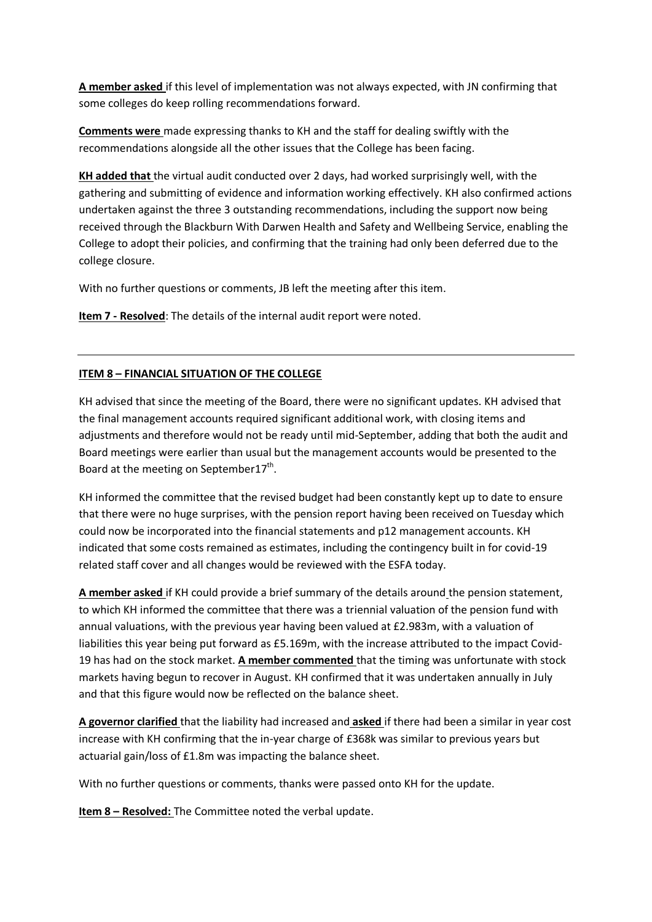**A member asked** if this level of implementation was not always expected, with JN confirming that some colleges do keep rolling recommendations forward.

**Comments were** made expressing thanks to KH and the staff for dealing swiftly with the recommendations alongside all the other issues that the College has been facing.

**KH added that** the virtual audit conducted over 2 days, had worked surprisingly well, with the gathering and submitting of evidence and information working effectively. KH also confirmed actions undertaken against the three 3 outstanding recommendations, including the support now being received through the Blackburn With Darwen Health and Safety and Wellbeing Service, enabling the College to adopt their policies, and confirming that the training had only been deferred due to the college closure.

With no further questions or comments, JB left the meeting after this item.

**Item 7 - Resolved**: The details of the internal audit report were noted.

## **ITEM 8 – FINANCIAL SITUATION OF THE COLLEGE**

KH advised that since the meeting of the Board, there were no significant updates. KH advised that the final management accounts required significant additional work, with closing items and adjustments and therefore would not be ready until mid-September, adding that both the audit and Board meetings were earlier than usual but the management accounts would be presented to the Board at the meeting on September17<sup>th</sup>.

KH informed the committee that the revised budget had been constantly kept up to date to ensure that there were no huge surprises, with the pension report having been received on Tuesday which could now be incorporated into the financial statements and p12 management accounts. KH indicated that some costs remained as estimates, including the contingency built in for covid-19 related staff cover and all changes would be reviewed with the ESFA today.

**A member asked** if KH could provide a brief summary of the details around the pension statement, to which KH informed the committee that there was a triennial valuation of the pension fund with annual valuations, with the previous year having been valued at £2.983m, with a valuation of liabilities this year being put forward as £5.169m, with the increase attributed to the impact Covid-19 has had on the stock market. **A member commented** that the timing was unfortunate with stock markets having begun to recover in August. KH confirmed that it was undertaken annually in July and that this figure would now be reflected on the balance sheet.

**A governor clarified** that the liability had increased and **asked** if there had been a similar in year cost increase with KH confirming that the in-year charge of £368k was similar to previous years but actuarial gain/loss of £1.8m was impacting the balance sheet.

With no further questions or comments, thanks were passed onto KH for the update.

**Item 8 – Resolved:** The Committee noted the verbal update.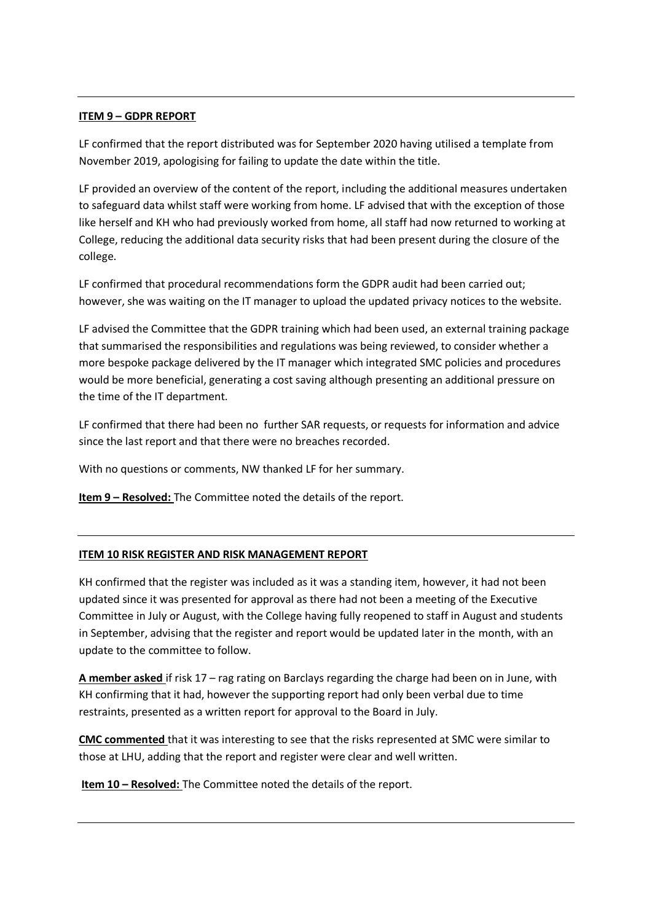#### **ITEM 9 – GDPR REPORT**

LF confirmed that the report distributed was for September 2020 having utilised a template from November 2019, apologising for failing to update the date within the title.

LF provided an overview of the content of the report, including the additional measures undertaken to safeguard data whilst staff were working from home. LF advised that with the exception of those like herself and KH who had previously worked from home, all staff had now returned to working at College, reducing the additional data security risks that had been present during the closure of the college.

LF confirmed that procedural recommendations form the GDPR audit had been carried out; however, she was waiting on the IT manager to upload the updated privacy notices to the website.

LF advised the Committee that the GDPR training which had been used, an external training package that summarised the responsibilities and regulations was being reviewed, to consider whether a more bespoke package delivered by the IT manager which integrated SMC policies and procedures would be more beneficial, generating a cost saving although presenting an additional pressure on the time of the IT department.

LF confirmed that there had been no further SAR requests, or requests for information and advice since the last report and that there were no breaches recorded.

With no questions or comments, NW thanked LF for her summary.

**Item 9 – Resolved:** The Committee noted the details of the report.

## **ITEM 10 RISK REGISTER AND RISK MANAGEMENT REPORT**

KH confirmed that the register was included as it was a standing item, however, it had not been updated since it was presented for approval as there had not been a meeting of the Executive Committee in July or August, with the College having fully reopened to staff in August and students in September, advising that the register and report would be updated later in the month, with an update to the committee to follow.

**A member asked** if risk 17 – rag rating on Barclays regarding the charge had been on in June, with KH confirming that it had, however the supporting report had only been verbal due to time restraints, presented as a written report for approval to the Board in July.

**CMC commented** that it was interesting to see that the risks represented at SMC were similar to those at LHU, adding that the report and register were clear and well written.

**Item 10 – Resolved:** The Committee noted the details of the report.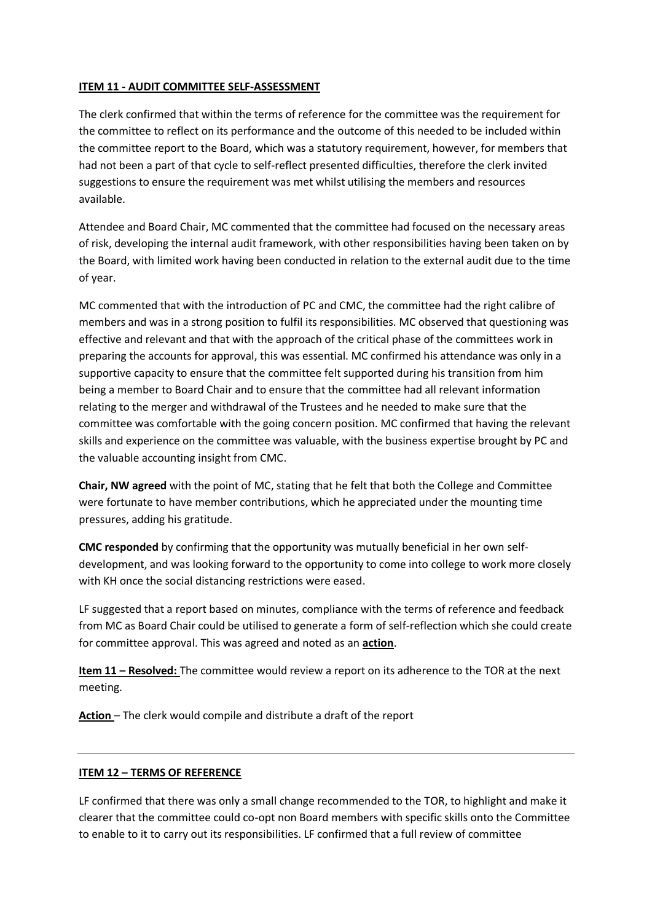#### **ITEM 11 - AUDIT COMMITTEE SELF-ASSESSMENT**

The clerk confirmed that within the terms of reference for the committee was the requirement for the committee to reflect on its performance and the outcome of this needed to be included within the committee report to the Board, which was a statutory requirement, however, for members that had not been a part of that cycle to self-reflect presented difficulties, therefore the clerk invited suggestions to ensure the requirement was met whilst utilising the members and resources available.

Attendee and Board Chair, MC commented that the committee had focused on the necessary areas of risk, developing the internal audit framework, with other responsibilities having been taken on by the Board, with limited work having been conducted in relation to the external audit due to the time of year.

MC commented that with the introduction of PC and CMC, the committee had the right calibre of members and was in a strong position to fulfil its responsibilities. MC observed that questioning was effective and relevant and that with the approach of the critical phase of the committees work in preparing the accounts for approval, this was essential. MC confirmed his attendance was only in a supportive capacity to ensure that the committee felt supported during his transition from him being a member to Board Chair and to ensure that the committee had all relevant information relating to the merger and withdrawal of the Trustees and he needed to make sure that the committee was comfortable with the going concern position. MC confirmed that having the relevant skills and experience on the committee was valuable, with the business expertise brought by PC and the valuable accounting insight from CMC.

**Chair, NW agreed** with the point of MC, stating that he felt that both the College and Committee were fortunate to have member contributions, which he appreciated under the mounting time pressures, adding his gratitude.

**CMC responded** by confirming that the opportunity was mutually beneficial in her own selfdevelopment, and was looking forward to the opportunity to come into college to work more closely with KH once the social distancing restrictions were eased.

LF suggested that a report based on minutes, compliance with the terms of reference and feedback from MC as Board Chair could be utilised to generate a form of self-reflection which she could create for committee approval. This was agreed and noted as an **action**.

**Item 11 – Resolved:** The committee would review a report on its adherence to the TOR at the next meeting.

**Action** – The clerk would compile and distribute a draft of the report

#### **ITEM 12 – TERMS OF REFERENCE**

LF confirmed that there was only a small change recommended to the TOR, to highlight and make it clearer that the committee could co-opt non Board members with specific skills onto the Committee to enable to it to carry out its responsibilities. LF confirmed that a full review of committee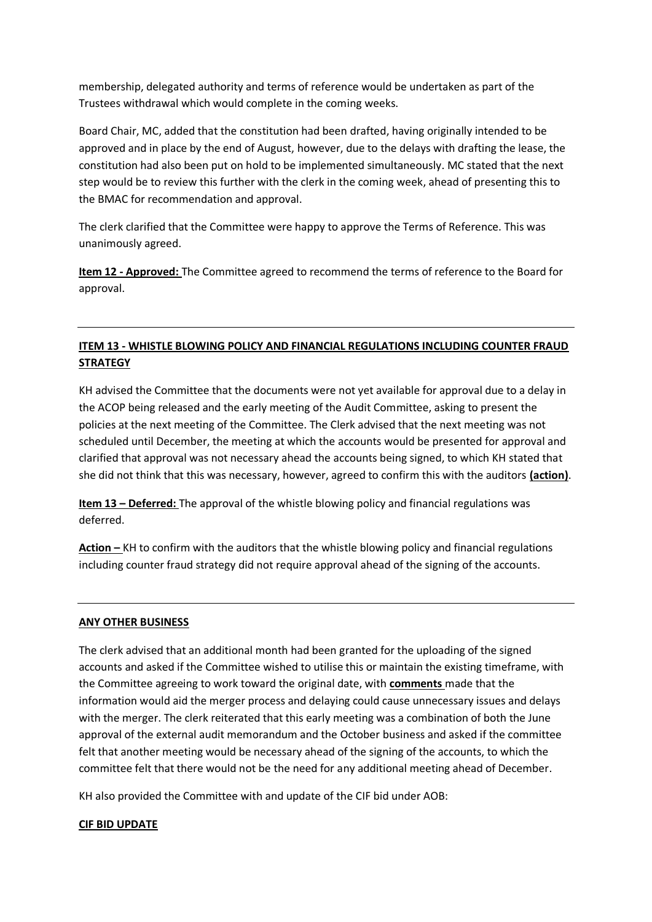membership, delegated authority and terms of reference would be undertaken as part of the Trustees withdrawal which would complete in the coming weeks.

Board Chair, MC, added that the constitution had been drafted, having originally intended to be approved and in place by the end of August, however, due to the delays with drafting the lease, the constitution had also been put on hold to be implemented simultaneously. MC stated that the next step would be to review this further with the clerk in the coming week, ahead of presenting this to the BMAC for recommendation and approval.

The clerk clarified that the Committee were happy to approve the Terms of Reference. This was unanimously agreed.

**Item 12 - Approved:** The Committee agreed to recommend the terms of reference to the Board for approval.

## **ITEM 13 - WHISTLE BLOWING POLICY AND FINANCIAL REGULATIONS INCLUDING COUNTER FRAUD STRATEGY**

KH advised the Committee that the documents were not yet available for approval due to a delay in the ACOP being released and the early meeting of the Audit Committee, asking to present the policies at the next meeting of the Committee. The Clerk advised that the next meeting was not scheduled until December, the meeting at which the accounts would be presented for approval and clarified that approval was not necessary ahead the accounts being signed, to which KH stated that she did not think that this was necessary, however, agreed to confirm this with the auditors **(action)**.

**Item 13 – Deferred:** The approval of the whistle blowing policy and financial regulations was deferred.

**Action –** KH to confirm with the auditors that the whistle blowing policy and financial regulations including counter fraud strategy did not require approval ahead of the signing of the accounts.

## **ANY OTHER BUSINESS**

The clerk advised that an additional month had been granted for the uploading of the signed accounts and asked if the Committee wished to utilise this or maintain the existing timeframe, with the Committee agreeing to work toward the original date, with **comments** made that the information would aid the merger process and delaying could cause unnecessary issues and delays with the merger. The clerk reiterated that this early meeting was a combination of both the June approval of the external audit memorandum and the October business and asked if the committee felt that another meeting would be necessary ahead of the signing of the accounts, to which the committee felt that there would not be the need for any additional meeting ahead of December.

KH also provided the Committee with and update of the CIF bid under AOB:

## **CIF BID UPDATE**